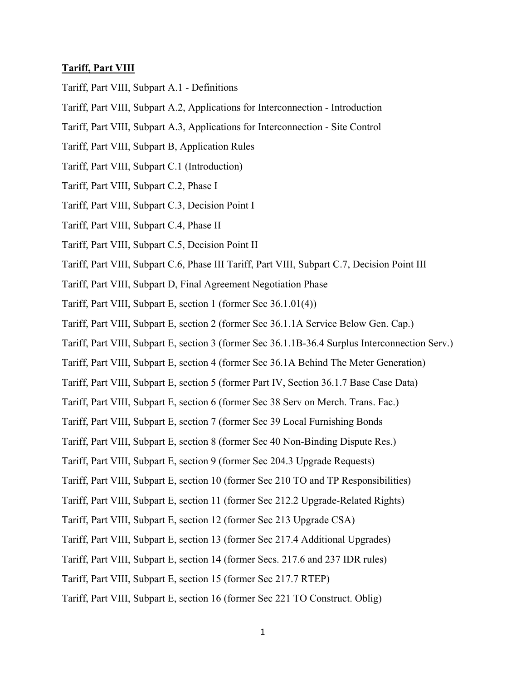## **Tariff, Part VIII**

- Tariff, Part VIII, Subpart A.1 Definitions
- Tariff, Part VIII, Subpart A.2, Applications for Interconnection Introduction
- Tariff, Part VIII, Subpart A.3, Applications for Interconnection Site Control
- Tariff, Part VIII, Subpart B, Application Rules
- Tariff, Part VIII, Subpart C.1 (Introduction)
- Tariff, Part VIII, Subpart C.2, Phase I
- Tariff, Part VIII, Subpart C.3, Decision Point I
- Tariff, Part VIII, Subpart C.4, Phase II
- Tariff, Part VIII, Subpart C.5, Decision Point II
- Tariff, Part VIII, Subpart C.6, Phase III Tariff, Part VIII, Subpart C.7, Decision Point III
- Tariff, Part VIII, Subpart D, Final Agreement Negotiation Phase
- Tariff, Part VIII, Subpart E, section 1 (former Sec 36.1.01(4))
- Tariff, Part VIII, Subpart E, section 2 (former Sec 36.1.1A Service Below Gen. Cap.)
- Tariff, Part VIII, Subpart E, section 3 (former Sec 36.1.1B-36.4 Surplus Interconnection Serv.)
- Tariff, Part VIII, Subpart E, section 4 (former Sec 36.1A Behind The Meter Generation)
- Tariff, Part VIII, Subpart E, section 5 (former Part IV, Section 36.1.7 Base Case Data)
- Tariff, Part VIII, Subpart E, section 6 (former Sec 38 Serv on Merch. Trans. Fac.)
- Tariff, Part VIII, Subpart E, section 7 (former Sec 39 Local Furnishing Bonds
- Tariff, Part VIII, Subpart E, section 8 (former Sec 40 Non-Binding Dispute Res.)
- Tariff, Part VIII, Subpart E, section 9 (former Sec 204.3 Upgrade Requests)
- Tariff, Part VIII, Subpart E, section 10 (former Sec 210 TO and TP Responsibilities)
- Tariff, Part VIII, Subpart E, section 11 (former Sec 212.2 Upgrade-Related Rights)
- Tariff, Part VIII, Subpart E, section 12 (former Sec 213 Upgrade CSA)
- Tariff, Part VIII, Subpart E, section 13 (former Sec 217.4 Additional Upgrades)
- Tariff, Part VIII, Subpart E, section 14 (former Secs. 217.6 and 237 IDR rules)
- Tariff, Part VIII, Subpart E, section 15 (former Sec 217.7 RTEP)
- Tariff, Part VIII, Subpart E, section 16 (former Sec 221 TO Construct. Oblig)